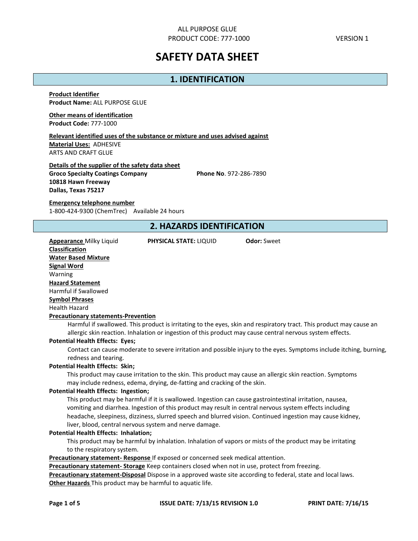# **SAFETY DATA SHEET**

# **1. IDENTIFICATION**

**Product Identifier Product Name:** ALL PURPOSE GLUE

**Other means of identification Product Code:** 777-1000

**Relevant identified uses of the substance or mixture and uses advised against Material Uses:** ADHESIVE ARTS AND CRAFT GLUE

**Details of the supplier of the safety data sheet Groco Specialty Coatings Company Phone No**. 972-286-7890 **10818 Hawn Freeway Dallas, Texas 75217**

**Emergency telephone number** 1-800-424-9300 (ChemTrec) Available 24 hours

# **2. HAZARDS IDENTIFICATION**

**Appearance** Milky Liquid **PHYSICAL STATE:** LIQUID **Odor:** Sweet

**Classification Water Based Mixture Signal Word** Warning **Hazard Statement** Harmful if Swallowed **Symbol Phrases** Health Hazard **Precautionary statements-Prevention**

Harmful if swallowed. This product is irritating to the eyes, skin and respiratory tract. This product may cause an allergic skin reaction. Inhalation or ingestion of this product may cause central nervous system effects.

### **Potential Health Effects: Eyes;**

Contact can cause moderate to severe irritation and possible injury to the eyes. Symptoms include itching, burning, redness and tearing.

#### **Potential Health Effects: Skin;**

This product may cause irritation to the skin. This product may cause an allergic skin reaction. Symptoms may include redness, edema, drying, de-fatting and cracking of the skin.

#### **Potential Health Effects: Ingestion;**

This product may be harmful if it is swallowed. Ingestion can cause gastrointestinal irritation, nausea, vomiting and diarrhea. Ingestion of this product may result in central nervous system effects including headache, sleepiness, dizziness, slurred speech and blurred vision. Continued ingestion may cause kidney, liver, blood, central nervous system and nerve damage.

#### **Potential Health Effects: Inhalation;**

This product may be harmful by inhalation. Inhalation of vapors or mists of the product may be irritating to the respiratory system.

**Precautionary statement- Response** If exposed or concerned seek medical attention.

**Precautionary statement- Storage** Keep containers closed when not in use, protect from freezing.

**Precautionary statement-Disposal** Dispose in a approved waste site according to federal, state and local laws. **Other Hazards** This product may be harmful to aquatic life.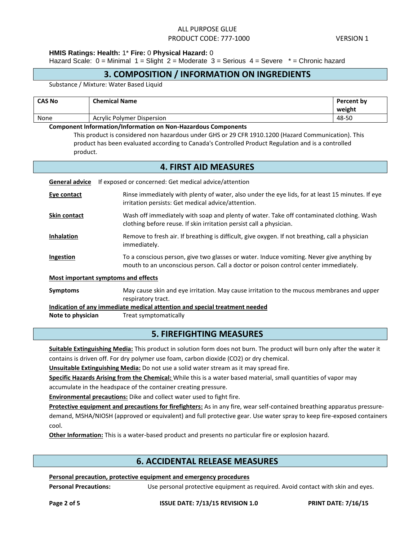### **HMIS Ratings: Health:** 1\* **Fire:** 0 **Physical Hazard:** 0

Hazard Scale:  $0 =$  Minimal  $1 =$  Slight  $2 =$  Moderate  $3 =$  Serious  $4 =$  Severe  $* =$  Chronic hazard

# **3. COMPOSITION / INFORMATION ON INGREDIENTS**

Substance / Mixture: Water Based Liquid

| <b>CAS No</b> | <b>Chemical Name</b>              | <b>Percent by</b> |
|---------------|-----------------------------------|-------------------|
|               |                                   | weight            |
| None          | <b>Acrylic Polymer Dispersion</b> | 48-50             |

#### **Component Information/Information on Non-Hazardous Components**

This product is considered non hazardous under GHS or 29 CFR 1910.1200 (Hazard Communication). This product has been evaluated according to Canada's Controlled Product Regulation and is a controlled product.

### **4. FIRST AID MEASURES**

| <b>General advice</b>                                                      | If exposed or concerned: Get medical advice/attention                                                                                                                            |  |  |  |
|----------------------------------------------------------------------------|----------------------------------------------------------------------------------------------------------------------------------------------------------------------------------|--|--|--|
| Eye contact                                                                | Rinse immediately with plenty of water, also under the eye lids, for at least 15 minutes. If eye<br>irritation persists: Get medical advice/attention.                           |  |  |  |
| <b>Skin contact</b>                                                        | Wash off immediately with soap and plenty of water. Take off contaminated clothing. Wash<br>clothing before reuse. If skin irritation persist call a physician.                  |  |  |  |
| <b>Inhalation</b>                                                          | Remove to fresh air. If breathing is difficult, give oxygen. If not breathing, call a physician<br>immediately.                                                                  |  |  |  |
| Ingestion                                                                  | To a conscious person, give two glasses or water. Induce vomiting. Never give anything by<br>mouth to an unconscious person. Call a doctor or poison control center immediately. |  |  |  |
| Most important symptoms and effects                                        |                                                                                                                                                                                  |  |  |  |
| <b>Symptoms</b>                                                            | May cause skin and eye irritation. May cause irritation to the mucous membranes and upper<br>respiratory tract.                                                                  |  |  |  |
| Indication of any immediate medical attention and special treatment needed |                                                                                                                                                                                  |  |  |  |
| Note to physician                                                          | Treat symptomatically                                                                                                                                                            |  |  |  |

# **5. FIREFIGHTING MEASURES**

**Suitable Extinguishing Media:** This product in solution form does not burn. The product will burn only after the water it contains is driven off. For dry polymer use foam, carbon dioxide (CO2) or dry chemical.

**Unsuitable Extinguishing Media:** Do not use a solid water stream as it may spread fire.

**Specific Hazards Arising from the Chemical:** While this is a water based material, small quantities of vapor may

accumulate in the headspace of the container creating pressure.

**Environmental precautions:** Dike and collect water used to fight fire.

**Protective equipment and precautions for firefighters:** As in any fire, wear self-contained breathing apparatus pressuredemand, MSHA/NIOSH (approved or equivalent) and full protective gear. Use water spray to keep fire-exposed containers cool.

**Other Information:** This is a water-based product and presents no particular fire or explosion hazard.

# **6. ACCIDENTAL RELEASE MEASURES**

#### **Personal precaution, protective equipment and emergency procedures**

**Personal Precautions:** Use personal protective equipment as required. Avoid contact with skin and eyes.

**Page 2 of 5 ISSUE DATE: 7/13/15 REVISION 1.0 PRINT DATE: 7/16/15**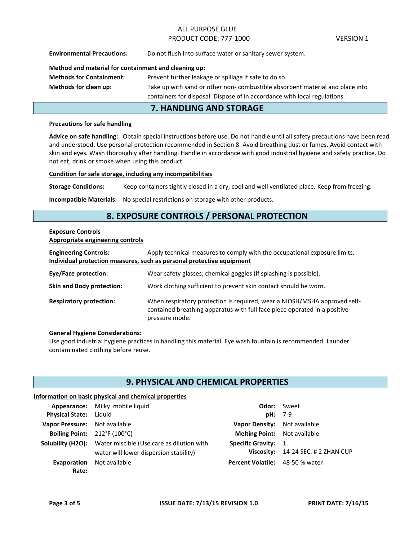**Environmental Precautions:** Do not flush into surface water or sanitary sewer system.

### **Method and material for containment and cleaning up:**

| <b>Methods for Containment:</b> | Prevent further leakage or spillage if safe to do so.                         |
|---------------------------------|-------------------------------------------------------------------------------|
| <b>Methods for clean up:</b>    | Take up with sand or other non- combustible absorbent material and place into |
|                                 | containers for disposal. Dispose of in accordance with local regulations.     |

# **7. HANDLING AND STORAGE**

#### **Precautions for safe handling**

**Advice on safe handling:** Obtain special instructions before use. Do not handle until all safety precautions have been read and understood. Use personal protection recommended in Section 8. Avoid breathing dust or fumes. Avoid contact with skin and eyes. Wash thoroughly after handling. Handle in accordance with good industrial hygiene and safety practice. Do not eat, drink or smoke when using this product.

#### **Condition for safe storage, including any incompatibilities**

**Storage Conditions:** Keep containers tightly closed in a dry, cool and well ventilated place. Keep from freezing.

**Incompatible Materials:** No special restrictions on storage with other products.

# **8. EXPOSURE CONTROLS / PERSONAL PROTECTION**

#### **Exposure Controls Appropriate engineering controls**

| Apply technical measures to comply with the occupational exposure limits.<br><b>Engineering Controls:</b><br>Individual protection measures, such as personal protective equipment |                                                                                                                                                                           |  |  |  |  |
|------------------------------------------------------------------------------------------------------------------------------------------------------------------------------------|---------------------------------------------------------------------------------------------------------------------------------------------------------------------------|--|--|--|--|
| <b>Eye/Face protection:</b>                                                                                                                                                        | Wear safety glasses; chemical goggles (if splashing is possible).                                                                                                         |  |  |  |  |
| <b>Skin and Body protection:</b>                                                                                                                                                   | Work clothing sufficient to prevent skin contact should be worn.                                                                                                          |  |  |  |  |
| <b>Respiratory protection:</b>                                                                                                                                                     | When respiratory protection is required, wear a NIOSH/MSHA approved self-<br>contained breathing apparatus with full face piece operated in a positive-<br>pressure mode. |  |  |  |  |

#### **General Hygiene Considerations:**

Use good industrial hygiene practices in handling this material. Eye wash fountain is recommended. Launder contaminated clothing before reuse.

# **9. PHYSICAL AND CHEMICAL PROPERTIES**

#### **Information on basic physical and chemical properties**

| Appearance: Milky mobile liquid                                                                   |           | <b>Odor:</b> Sweet                     |
|---------------------------------------------------------------------------------------------------|-----------|----------------------------------------|
| <b>Physical State:</b> Liquid                                                                     | $pH: 7-9$ |                                        |
| Vapor Pressure: Not available                                                                     |           | Vapor Density: Not available           |
| Boiling Point: $212^{\circ}F(100^{\circ}C)$                                                       |           | <b>Melting Point:</b> Not available    |
| <b>Solubility (H2O):</b> Water miscible (Use care as dilution with<br><b>Specific Gravity: 1.</b> |           |                                        |
| water will lower dispersion stability)                                                            |           | Viscosity: 14-24 SEC. # 2 ZHAN CUP     |
| <b>Evaporation</b> Not available<br>Rate:                                                         |           | <b>Percent Volatile:</b> 48-50 % water |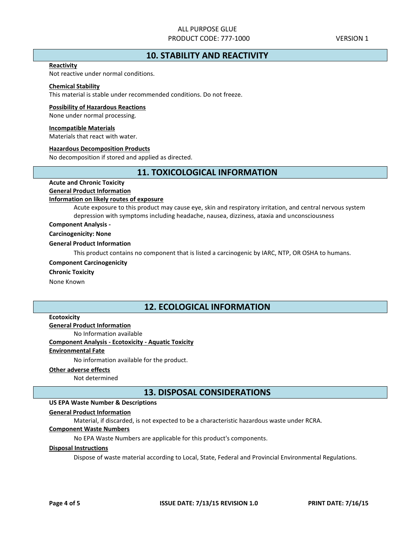# **10. STABILITY AND REACTIVITY**

#### **Reactivity**

Not reactive under normal conditions.

# **Chemical Stability**

This material is stable under recommended conditions. Do not freeze.

#### **Possibility of Hazardous Reactions**

None under normal processing.

#### **Incompatible Materials**

Materials that react with water.

#### **Hazardous Decomposition Products**

No decomposition if stored and applied as directed.

# **11. TOXICOLOGICAL INFORMATION**

# **Acute and Chronic Toxicity**

#### **General Product Information Information on likely routes of exposure**

Acute exposure to this product may cause eye, skin and respiratory irritation, and central nervous system depression with symptoms including headache, nausea, dizziness, ataxia and unconsciousness

### **Component Analysis -**

#### **Carcinogenicity: None**

#### **General Product Information**

This product contains no component that is listed a carcinogenic by IARC, NTP, OR OSHA to humans.

#### **Component Carcinogenicity**

#### **Chronic Toxicity**

None Known

# **12. ECOLOGICAL INFORMATION**

### **Ecotoxicity**

**General Product Information**

No Information available

### **Component Analysis - Ecotoxicity - Aquatic Toxicity**

#### **Environmental Fate**

No information available for the product.

#### **Other adverse effects**

Not determined

### **13. DISPOSAL CONSIDERATIONS**

### **US EPA Waste Number & Descriptions**

#### **General Product Information**

Material, if discarded, is not expected to be a characteristic hazardous waste under RCRA.

### **Component Waste Numbers**

No EPA Waste Numbers are applicable for this product's components.

#### **Disposal Instructions**

Dispose of waste material according to Local, State, Federal and Provincial Environmental Regulations.